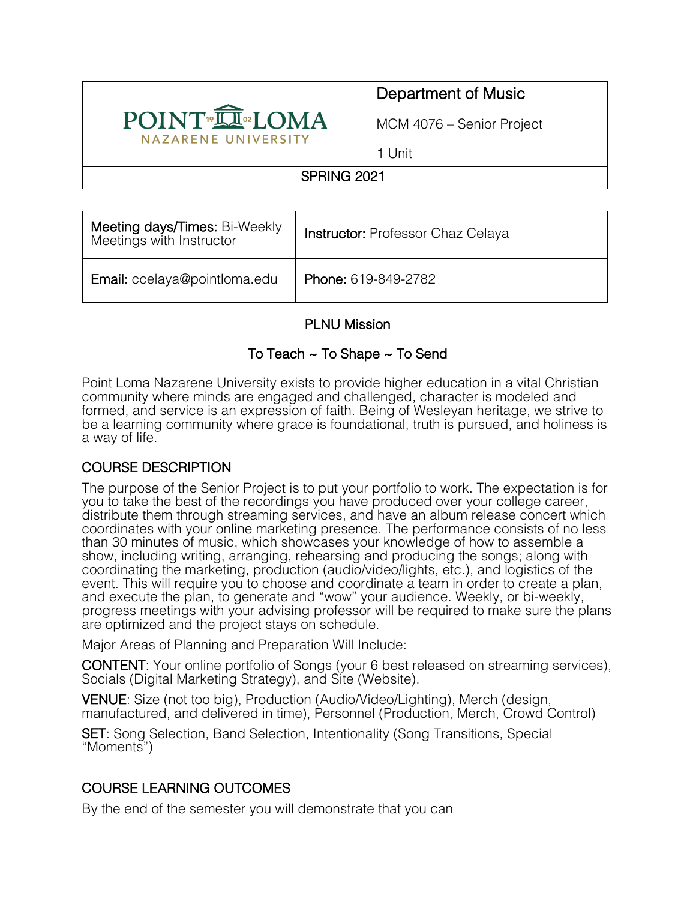

# Department of Music

MCM 4076 – Senior Project

1 Unit

# SPRING 2021

| Meeting days/Times: Bi-Weekly<br>Meetings with Instructor | Instructor: Professor Chaz Celaya |  |
|-----------------------------------------------------------|-----------------------------------|--|
| Email: ccelaya@pointloma.edu                              | Phone: 619-849-2782               |  |

# PLNU Mission

## To Teach ~ To Shape ~ To Send

Point Loma Nazarene University exists to provide higher education in a vital Christian community where minds are engaged and challenged, character is modeled and formed, and service is an expression of faith. Being of Wesleyan heritage, we strive to be a learning community where grace is foundational, truth is pursued, and holiness is a way of life.

## COURSE DESCRIPTION

The purpose of the Senior Project is to put your portfolio to work. The expectation is for you to take the best of the recordings you have produced over your college career, distribute them through streaming services, and have an album release concert which coordinates with your online marketing presence. The performance consists of no less than 30 minutes of music, which showcases your knowledge of how to assemble a show, including writing, arranging, rehearsing and producing the songs; along with coordinating the marketing, production (audio/video/lights, etc.), and logistics of the event. This will require you to choose and coordinate a team in order to create a plan, and execute the plan, to generate and "wow" your audience. Weekly, or bi-weekly, progress meetings with your advising professor will be required to make sure the plans are optimized and the project stays on schedule.

Major Areas of Planning and Preparation Will Include:

CONTENT: Your online portfolio of Songs (your 6 best released on streaming services), Socials (Digital Marketing Strategy), and Site (Website).

VENUE: Size (not too big), Production (Audio/Video/Lighting), Merch (design, manufactured, and delivered in time), Personnel (Production, Merch, Crowd Control)

SET: Song Selection, Band Selection, Intentionality (Song Transitions, Special "Moments")

## COURSE LEARNING OUTCOMES

By the end of the semester you will demonstrate that you can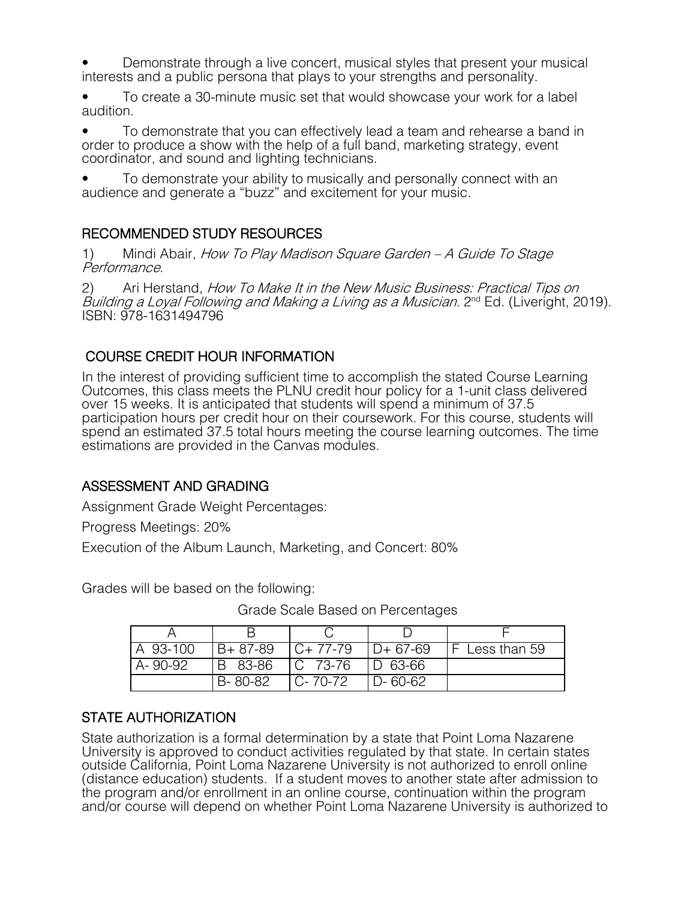• Demonstrate through a live concert, musical styles that present your musical interests and a public persona that plays to your strengths and personality.

• To create a 30-minute music set that would showcase your work for a label audition.

• To demonstrate that you can effectively lead a team and rehearse a band in order to produce a show with the help of a full band, marketing strategy, event coordinator, and sound and lighting technicians.

• To demonstrate your ability to musically and personally connect with an audience and generate a "buzz" and excitement for your music.

## RECOMMENDED STUDY RESOURCES

1) Mindi Abair, How To Play Madison Square Garden - A Guide To Stage Performance.

2) Ari Herstand, *How To Make It in the New Music Business: Practical Tips on* Building a Loyal Following and Making a Living as a Musician. 2<sup>nd</sup> Ed. (Liveright, 2019). ISBN: 978-1631494796

COURSE CREDIT HOUR INFORMATION<br>In the interest of providing sufficient time to accomplish the stated Course Learning Outcomes, this class meets the PLNU credit hour policy for a 1-unit class delivered over 15 weeks. It is anticipated that students will spend a minimum of 37.5 participation hours per credit hour on their coursework. For this course, students will spend an estimated 37.5 total hours meeting the course learning outcomes. The time estimations are provided in the Canvas modules.

## ASSESSMENT AND GRADING

Assignment Grade Weight Percentages:

Progress Meetings: 20%

Execution of the Album Launch, Marketing, and Concert: 80%

Grades will be based on the following:

Grade Scale Based on Percentages

| A 93-100 | $B + 87 - 89$ | $IC+77-79$  | ID+67-69    | $\mathsf{F}$ Less than 59 |
|----------|---------------|-------------|-------------|---------------------------|
| A-90-92  | B 83-86       | $ C 73-76$  | $ D 63-66 $ |                           |
|          | B-80-82       | $ C-70-72 $ | $ D-60-62 $ |                           |

# STATE AUTHORIZATION

State authorization is a formal determination by a state that Point Loma Nazarene University is approved to conduct activities regulated by that state. In certain states outside California, Point Loma Nazarene University is not authorized to enroll online (distance education) students. If a student moves to another state after admission to the program and/or enrollment in an online course, continuation within the program and/or course will depend on whether Point Loma Nazarene University is authorized to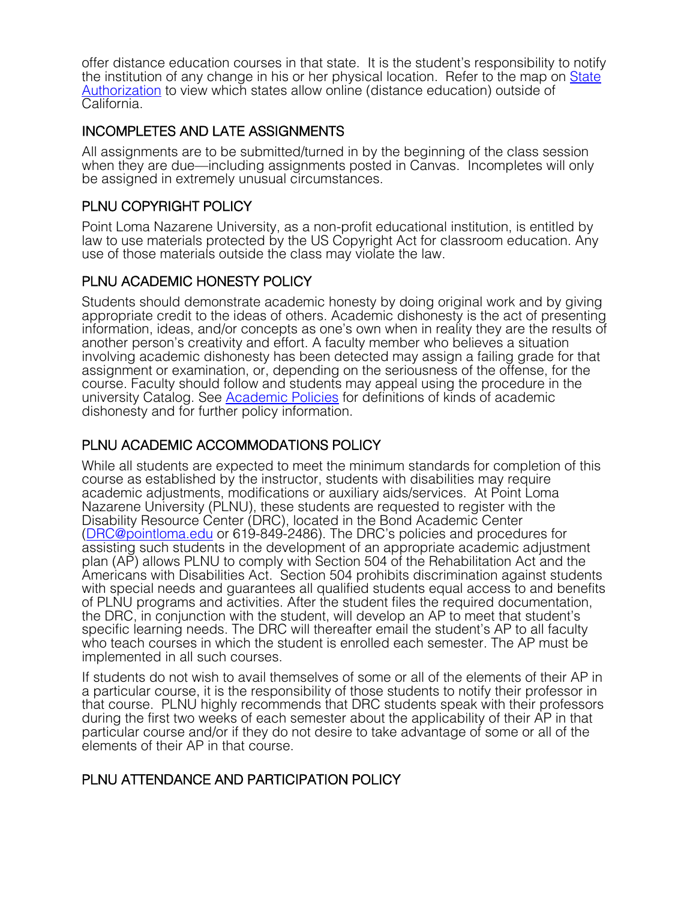offer distance education courses in that state. It is the student's responsibility to notify the institution of any change in his or her physical location. Refer to the map on State Authorization to view which states allow online (distance education) outside of California.

#### INCOMPLETES AND LATE ASSIGNMENTS

All assignments are to be submitted/turned in by the beginning of the class session when they are due—including assignments posted in Canvas. Incompletes will only be assigned in extremely unusual circumstances.

# PLNU COPYRIGHT POLICY

Point Loma Nazarene University, as a non-profit educational institution, is entitled by law to use materials protected by the US Copyright Act for classroom education. Any use of those materials outside the class may violate the law.

# PLNU ACADEMIC HONESTY POLICY

Students should demonstrate academic honesty by doing original work and by giving appropriate credit to the ideas of others. Academic dishonesty is the act of presenting information, ideas, and/or concepts as one's own when in reality they are the results of another person's creativity and effort. A faculty member who believes a situation involving academic dishonesty has been detected may assign a failing grade for that assignment or examination, or, depending on the seriousness of the offense, for the course. Faculty should follow and students may appeal using the procedure in the university Catalog. See Academic Policies for definitions of kinds of academic dishonesty and for further policy information.

# PLNU ACADEMIC ACCOMMODATIONS POLICY

While all students are expected to meet the minimum standards for completion of this course as established by the instructor, students with disabilities may require academic adjustments, modifications or auxiliary aids/services. At Point Loma Nazarene University (PLNU), these students are requested to register with the Disability Resource Center (DRC), located in the Bond Academic Center (DRC@pointloma.edu or 619-849-2486). The DRC's policies and procedures for assisting such students in the development of an appropriate academic adjustment plan (AP) allows PLNU to comply with Section 504 of the Rehabilitation Act and the Americans with Disabilities Act. Section 504 prohibits discrimination against students with special needs and guarantees all qualified students equal access to and benefits of PLNU programs and activities. After the student files the required documentation, the DRC, in conjunction with the student, will develop an AP to meet that student's specific learning needs. The DRC will thereafter email the student's AP to all faculty who teach courses in which the student is enrolled each semester. The AP must be implemented in all such courses.

If students do not wish to avail themselves of some or all of the elements of their AP in a particular course, it is the responsibility of those students to notify their professor in that course. PLNU highly recommends that DRC students speak with their professors during the first two weeks of each semester about the applicability of their AP in that particular course and/or if they do not desire to take advantage of some or all of the elements of their AP in that course.

## PLNU ATTENDANCE AND PARTICIPATION POLICY